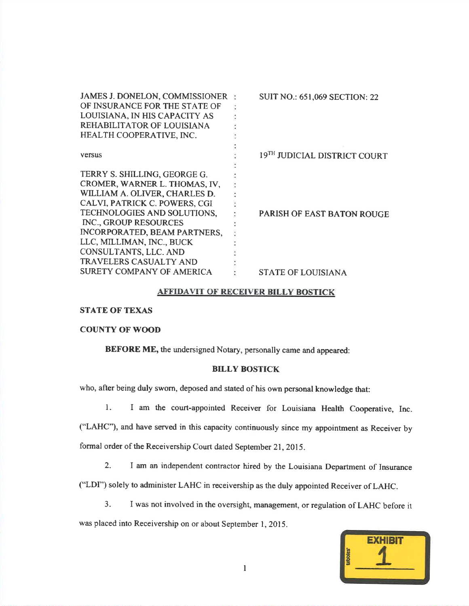| JAMES J. DONELON, COMMISSIONER<br>OF INSURANCE FOR THE STATE OF<br>LOUISIANA, IN HIS CAPACITY AS<br>REHABILITATOR OF LOUISIANA<br>HEALTH COOPERATIVE, INC. | <b>SUIT NO.: 651,069 SECTION: 22</b> |
|------------------------------------------------------------------------------------------------------------------------------------------------------------|--------------------------------------|
| <b>Versus</b>                                                                                                                                              | 19TH JUDICIAL DISTRICT COURT         |
| TERRY S. SHILLING, GEORGE G.                                                                                                                               |                                      |
| CROMER, WARNER L. THOMAS, IV,                                                                                                                              |                                      |
| WILLIAM A. OLIVER, CHARLES D.                                                                                                                              |                                      |
| CALVI, PATRICK C. POWERS, CGI                                                                                                                              |                                      |
| TECHNOLOGIES AND SOLUTIONS,                                                                                                                                | PARISH OF EAST BATON ROUGE           |
| INC., GROUP RESOURCES                                                                                                                                      |                                      |
| INCORPORATED, BEAM PARTNERS,                                                                                                                               |                                      |
| LLC, MILLIMAN, INC., BUCK                                                                                                                                  |                                      |
| CONSULTANTS, LLC. AND                                                                                                                                      |                                      |
| <b>TRAVELERS CASUALTY AND</b>                                                                                                                              |                                      |
| SURETY COMPANY OF AMERICA                                                                                                                                  | <b>STATE OF LOUISIANA</b>            |

## AFFIDAVIT OF RECEIVER BILLY BOSTICK

STATE OF TEXAS

## COUNTY OF WOOD

BEFORE ME, the undersigned Notary, personally came and appeared:

## BILLY BOSTICK

who, after being duly sworn, deposed and stated of his own personal knowledge that:

l. I am the court-appointed Receiver for Louisiana Health Cooperative, Inc.

("LAHC'), and have served in this capacity continuously since my appointment as Receiver byformal order of the Receivership Court dated September 21,2015.

2. I am an independent contractor hired by the Louisiana Department of Insurance

("LDI") solely to administer LAHC in receivership as the duly appointed Receiver of LAHC.

3. <sup>I</sup>was not involved in the oversight, management, or regulation of LAHC before it

was placed into Receivership on or about September 1, 2015.

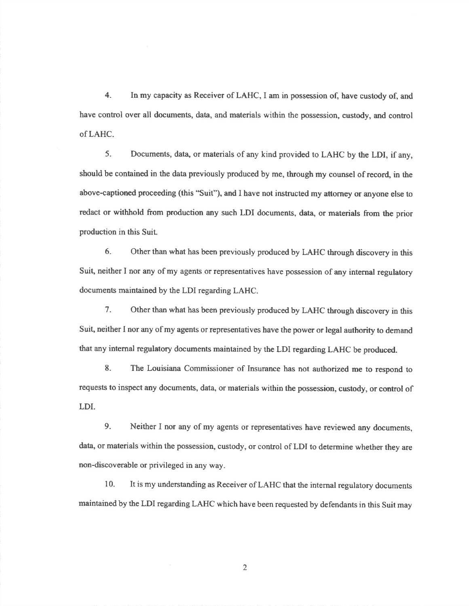4. In my capacity as Receiver of LAHC, I am in possession of, have custody of, and have control over all documents, data, and materials within the possession, custody, and controlofLAHC.

5. Documents, data, or materials of any kind provided to LAHC by the LDI, if any,should be contained in the data previously produced by me, through my counsel of record, in the above-captioned proceeding (this "Suit"), and I have not instructed my attorney or anyone else toredact or withhold from production any such LDI documents, data, or materials from the prior production in this Suit,

6- Other than what has been previously produced by LAHC through discovery in thisSuit, neither I nor any of my agents or representatives have possession of any internal regulatory documents maintained by the LDI regarding LAHC.

7. Other than what has been previously produced by LAHC through discovery in thisSuit, neither I nor any of my agents or representatives have the power or legal authority to demand that any internal regulatory documents maintained by the LDI regarding LAHC be produced.

8. The Louisiana Commissioner of Insurance has not authorized me to respond torequests to inspect any documents, data, or materials within the possession, custody, or control ofLDI.

9. Neither I nor any of my agents or representatives have reviewed any documents, data, or materials within the possession, custody, or control of LDI to determine whether they arenon-discoverable or privileged in any way.

10. It is my understanding as Receiver of LAHC that the internal regulatory documentsmaintained by the LDI regarding LAHC which have been requested by defendants in this Suit may

2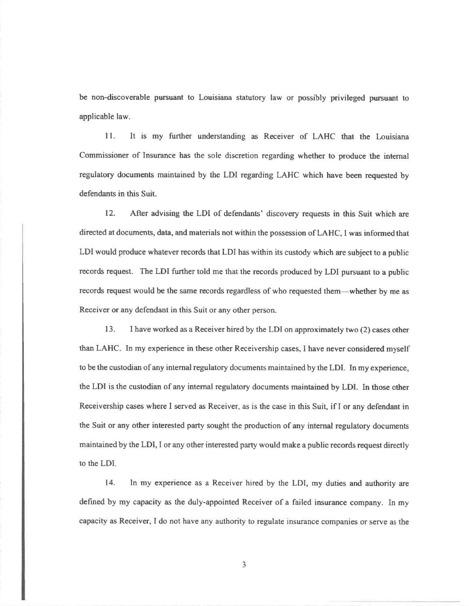be non-discoverable pursuant to Louisiana statutory law or possibly privileged pursuant toapplicable law.

<sup>I</sup>l. It is my further understanding as Receiver of LAHC that the LouisianaCommissioner of Insurance has the sole discretion regarding whether to produce the internalregulatory documents maintained by the LDI regarding LAHC which have been requested bydefendants in this Suit.

12. After advising the LDI of defendants' discovery requests in this Suit which aredirected at documents, data, and materials not within the possession of LAHC, I was informed thatLDI would produce whatever records that LDI has within its custody which are subject to a publicrecords request. The LDI further told me that the records produced by LDI pursuant to a publicrecords request would be the same records regardless of who requested them-whether by me asReceiver or any defendant in this Suit or any other person.

13. I have worked as a Receiver hired by the LDI on approximately two (2) cases otherthan LAHC. In my experience in these other Receivership cases, I have never considered myselfto be the custodian of any internal regulatory documents maintained by the LDI. In my experience,the LDI is the custodian of any intemal regulatory documents maintained by LDI. In those otherReceivership cases where I served as Receiver, as is the case in this Suit, if I or any defendant inthe Suit or any other interested party sought the production of any internal regulatory documentsmaintained by the LDI, I or any other interested party would make a public records request directlyto the LDI.

14. In my experience as a Receiver hired by the LDI, my duties and authority aredefined by my capacity as the duly-appointed Receiver of a failed insurance company. In my capacity as Receiver, I do not have any authority to regulate insurance companies or serve as the

3